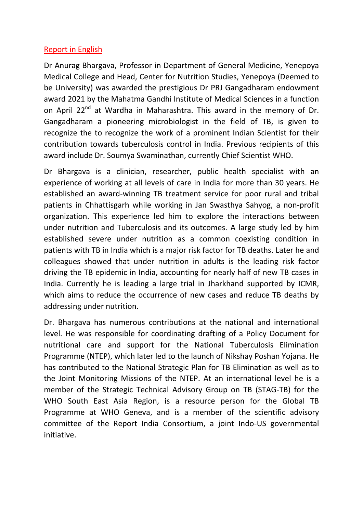## Report in English

Dr Anurag Bhargava, Professor in Department of General Medicine, Yenepoya Medical College and Head, Center for Nutrition Studies, Yenepoya (Deemed to be University) was awarded the prestigious Dr PRJ Gangadharam endowment award 2021 by the Mahatma Gandhi Institute of Medical Sciences in a function on April 22<sup>nd</sup> at Wardha in Maharashtra. This award in the memory of Dr. Gangadharam a pioneering microbiologist in the field of TB, is given to recognize the to recognize the work of a prominent Indian Scientist for their contribution towards tuberculosis control in India. Previous recipients of this award include Dr. Soumya Swaminathan, currently Chief Scientist WHO.

Dr Bhargava is a clinician, researcher, public health specialist with an experience of working at all levels of care in India for more than 30 years. He established an award-winning TB treatment service for poor rural and tribal patients in Chhattisgarh while working in Jan Swasthya Sahyog, a non-profit organization. This experience led him to explore the interactions between under nutrition and Tuberculosis and its outcomes. A large study led by him established severe under nutrition as a common coexisting condition in patients with TB in India which is a major risk factor for TB deaths. Later he and colleagues showed that under nutrition in adults is the leading risk factor driving the TB epidemic in India, accounting for nearly half of new TB cases in India. Currently he is leading a large trial in Jharkhand supported by ICMR, which aims to reduce the occurrence of new cases and reduce TB deaths by addressing under nutrition.

Dr. Bhargava has numerous contributions at the national and international level. He was responsible for coordinating drafting of a Policy Document for nutritional care and support for the National Tuberculosis Elimination Programme (NTEP), which later led to the launch of Nikshay Poshan Yojana. He has contributed to the National Strategic Plan for TB Elimination as well as to the Joint Monitoring Missions of the NTEP. At an international level he is a member of the Strategic Technical Advisory Group on TB (STAG-TB) for the WHO South East Asia Region, is a resource person for the Global TB Programme at WHO Geneva, and is a member of the scientific advisory committee of the Report India Consortium, a joint Indo-US governmental initiative.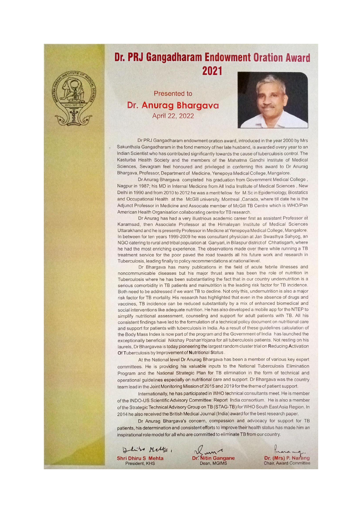

## **Dr. PRJ Gangadharam Endowment Oration Award** 2021

Presented to Dr. Anurag Bhargava April 22, 2022



Dr PRJ Gangadharam endowment oration award, introduced in the year 2000 by Mrs Sakunthala Gangadharam in the fond memory of her late husband, is awarded every year to an Indian Scientist who has contributed significantly towards the cause of tuberculosis control. The Kasturba Health Society and the members of the Mahatma Gandhi Institute of Medical Sciences, Sevagram feel honoured and privileged in conferring this award to Dr Anurag Bhargava, Professor, Department of Medicine, Yenepova Medical College, Mangalore.

Dr Anurag Bhargava completed his graduation from Government Medical College, Nagpur in 1987; his MD in Internal Medicine from All India Institute of Medical Sciences, New Delhi in 1990 and from 2010 to 2012 he was a merit fellow for M.Sc in Epidemiology, Biostatics and Occupational Health at the McGill university, Montreal ,Canada, where till date he is the Adjunct Professor in Medicine and Associate member of McGill TB Centre which is WHO/Pan American Health Organisation collaborating centre for TB research.

Dr Anurag has had a very illustrious academic career first as assistant Professor at Karamsad, then Associate Professor at the Himalayan Institute of Medical Sciences Uttarakhand and he is presently Professor in Medicne at Yenepoya Medical College, Mangalore. In between for ten years 1999-2009 he was consultant physician at Jan Swasthya Sahyog, an NGO catering to rural and tribal population at Ganyari, in Bilaspur district of Chhatisgarh, where he had the most enriching experience. The observations made over there while running a TB treatment service for the poor paved the road towards all his future work and research in Tuberculosis, leading finally to policy recommendations at national level.

Dr Bhargava has many publications in the field of acute febrile illnesses and noncommunicable diseases but his major thrust area has been the role of nutrition in Tuberculosis where he has been substantiating the fact that in our country undernutrition is a serious comorbidity in TB patients and malnutrition is the leading risk factor for TB incidence. Both need to be addressed if we want TB to decline. Not only this, undernutrition is also a major risk factor for TB mortality. His research has highlighted that even in the absence of drugs and vaccines, TB incidence can be reduced substantially by a mix of enhanced biomedical and social interventions like adequate nutrition. He has also developed a mobile app for the NTEP to simplify nutritional assessment, counseling and support for adult patients with TB. All his consistent findings have led to the formulation of a technical policy document on nutritional care and support for patients with tuberculosis in India. As a result of these guidelines calculation of the Body Mass Index is now part of the program and the Government of India has launched the exceptionally beneficial Nikshay Poshan Yojana for all tuberculosis patients. Not resting on his laurels, Dr Bhargavea is today pioneering the largest random cluster trial on Reducing Activation Of Tuberculosis by Improvement of Nutritional Status

At the National level Dr Anurag Bhargava has been a member of various key expert committees. He is providing his valuable inputs to the National Tuberculosis Elimination Program and the National Strategic Plan for TB elimination in the form of technical and operational guidelines especially on nutritional care and support. Dr Bhargava was the country team lead in the Joint Monitoring Mission of 2015 and 2019 for the theme of patient support.

Internationally, he has participated in WHO technical consultants meet. He is member of the INDO-US Scientific Advisory Committee: Report India consortium. He is also a member of the Strategic Technical Advisory Group on TB (STAG-TB) for WHO South East Asia Region. In 2014 he also received the British Medical Journal (India) award for the best research paper.

Dr Anurag Bhargava's concern, compassion and advocacy for support for TB patients, his determination and consistent efforts to improve their health status has made him an inspirational role model for all who are committed to eliminate TB from our country.

Dhiro Metta, **Shri Dhiru S Mehta** President, KHS